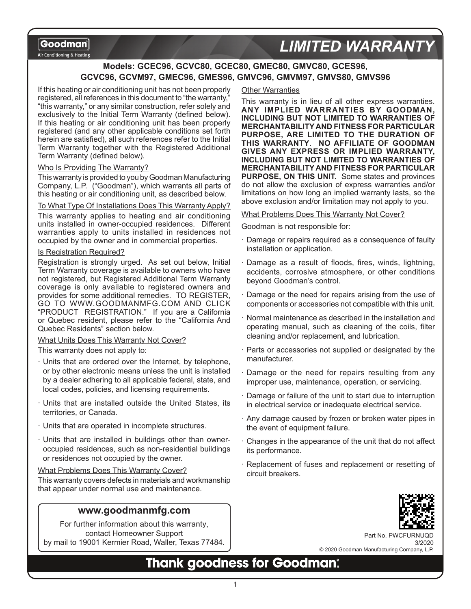Air Conditioning & Heating

# **LIMITED WARRANT**

## **Models: GCEC96, GCVC80, GCEC80, GMEC80, GMVC80, GCES96, GCVC96, GCVM97, GMEC96, GMES96, GMVC96, GMVM97, GMVS80, GMVS96**

If this heating or air conditioning unit has not been properly registered, all references in this document to "the warranty," "this warranty," or any similar construction, refer solely and exclusively to the Initial Term Warranty (defined below). If this heating or air conditioning unit has been properly registered (and any other applicable conditions set forth herein are satisfied), all such references refer to the Initial Term Warranty together with the Registered Additional Term Warranty (defined below).

#### Who Is Providing The Warranty?

This warranty is provided to you by Goodman Manufacturing Company, L.P. ("Goodman"), which warrants all parts of this heating or air conditioning unit, as described below.

#### To What Type Of Installations Does This Warranty Apply?

This warranty applies to heating and air conditioning units installed in owner-occupied residences. Different warranties apply to units installed in residences not occupied by the owner and in commercial properties.

#### Is Registration Required?

Registration is strongly urged. As set out below, Initial Term Warranty coverage is available to owners who have not registered, but Registered Additional Term Warranty coverage is only available to registered owners and provides for some additional remedies. TO REGISTER, GO TO WWW.GOODMANMFG.COM AND CLICK "PRODUCT REGISTRATION." If you are a California or Quebec resident, please refer to the "California And Quebec Residents" section below.

#### What Units Does This Warranty Not Cover?

This warranty does not apply to:

- · Units that are ordered over the Internet, by telephone, or by other electronic means unless the unit is installed by a dealer adhering to all applicable federal, state, and local codes, policies, and licensing requirements.
- · Units that are installed outside the United States, its territories, or Canada.
- · Units that are operated in incomplete structures.
- · Units that are installed in buildings other than owneroccupied residences, such as non-residential buildings or residences not occupied by the owner.

#### What Problems Does This Warranty Cover?

This warranty covers defects in materials and workmanship that appear under normal use and maintenance.

### **www.goodmanmfg.com**

For further information about this warranty, contact Homeowner Support by mail to 19001 Kermier Road, Waller, Texas 77484.

#### Other Warranties

This warranty is in lieu of all other express warranties. **ANY IMPLIED WARRANTIES BY GOODMAN, INCLUDING BUT NOT LIMITED TO WARRANTIES OF MERCHANTABILITY AND FITNESS FOR PARTICULAR PURPOSE, ARE LIMITED TO THE DURATION OF THIS WARRANTY**. **NO AFFILIATE OF GOODMAN GIVES ANY EXPRESS OR IMPLIED WARRANTY, INCLUDING BUT NOT LIMITED TO WARRANTIES OF MERCHANTABILITY AND FITNESS FOR PARTICULAR PURPOSE, ON THIS UNIT.** Some states and provinces do not allow the exclusion of express warranties and/or limitations on how long an implied warranty lasts, so the above exclusion and/or limitation may not apply to you.

#### What Problems Does This Warranty Not Cover?

Goodman is not responsible for:

- · Damage or repairs required as a consequence of faulty installation or application.
- Damage as a result of floods, fires, winds, lightning, accidents, corrosive atmosphere, or other conditions beyond Goodman's control.
- · Damage or the need for repairs arising from the use of components or accessories not compatible with this unit.
- · Normal maintenance as described in the installation and operating manual, such as cleaning of the coils, filter cleaning and/or replacement, and lubrication.
- · Parts or accessories not supplied or designated by the manufacturer.
- · Damage or the need for repairs resulting from any improper use, maintenance, operation, or servicing.
- Damage or failure of the unit to start due to interruption in electrical service or inadequate electrical service.
- · Any damage caused by frozen or broken water pipes in the event of equipment failure.
- Changes in the appearance of the unit that do not affect its performance.
- · Replacement of fuses and replacement or resetting of circuit breakers.



Part No. PWCFURNUQD 3/2020 © 2020 Goodman Manufacturing Company, L.P.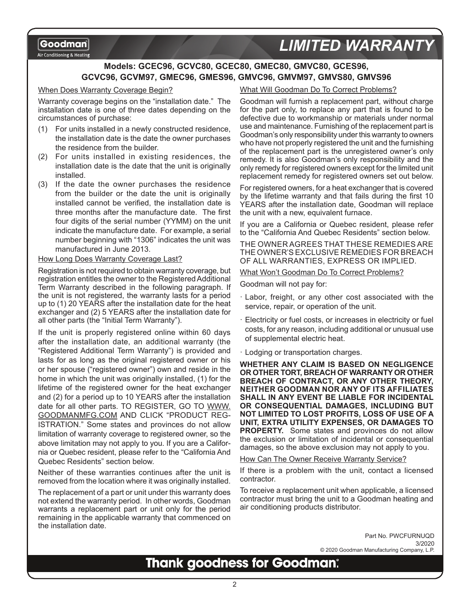Air Conditioning & Heating

# *LIMITED WARRANTY*

### **Models: GCEC96, GCVC80, GCEC80, GMEC80, GMVC80, GCES96, GCVC96, GCVM97, GMEC96, GMES96, GMVC96, GMVM97, GMVS80, GMVS96**

#### When Does Warranty Coverage Begin?

Warranty coverage begins on the "installation date." The installation date is one of three dates depending on the circumstances of purchase:

- (1) For units installed in a newly constructed residence, the installation date is the date the owner purchases the residence from the builder.
- (2) For units installed in existing residences, the installation date is the date that the unit is originally installed.
- (3) If the date the owner purchases the residence from the builder or the date the unit is originally installed cannot be verified, the installation date is three months after the manufacture date. The first four digits of the serial number (YYMM) on the unit indicate the manufacture date. For example, a serial number beginning with "1306" indicates the unit was manufactured in June 2013.

#### How Long Does Warranty Coverage Last?

Registration is not required to obtain warranty coverage, but registration entitles the owner to the Registered Additional Term Warranty described in the following paragraph. If the unit is not registered, the warranty lasts for a period up to (1) 20 YEARS after the installation date for the heat exchanger and (2) 5 YEARS after the installation date for all other parts (the "Initial Term Warranty").

If the unit is properly registered online within 60 days after the installation date, an additional warranty (the "Registered Additional Term Warranty") is provided and lasts for as long as the original registered owner or his or her spouse ("registered owner") own and reside in the home in which the unit was originally installed, (1) for the lifetime of the registered owner for the heat exchanger and (2) for a period up to 10 YEARS after the installation date for all other parts. TO REGISTER, GO TO WWW. GOODMANMFG.COM AND CLICK "PRODUCT REG-ISTRATION." Some states and provinces do not allow limitation of warranty coverage to registered owner, so the above limitation may not apply to you. If you are a California or Quebec resident, please refer to the "California And Quebec Residents" section below.

Neither of these warranties continues after the unit is removed from the location where it was originally installed.

The replacement of a part or unit under this warranty does not extend the warranty period. In other words, Goodman warrants a replacement part or unit only for the period remaining in the applicable warranty that commenced on the installation date.

#### What Will Goodman Do To Correct Problems?

Goodman will furnish a replacement part, without charge for the part only, to replace any part that is found to be defective due to workmanship or materials under normal use and maintenance. Furnishing of the replacement part is Goodman's only responsibility under this warranty to owners who have not properly registered the unit and the furnishing of the replacement part is the unregistered owner's only remedy. It is also Goodman's only responsibility and the only remedy for registered owners except for the limited unit replacement remedy for registered owners set out below.

For registered owners, for a heat exchanger that is covered by the lifetime warranty and that fails during the first 10 YEARS after the installation date, Goodman will replace the unit with a new, equivalent furnace.

If you are a California or Quebec resident, please refer to the "California And Quebec Residents" section below.

THE OWNER AGREES THAT THESE REMEDIES ARE THE OWNER'S EXCLUSIVE REMEDIES FOR BREACH OF ALL WARRANTIES, EXPRESS OR IMPLIED.

What Won't Goodman Do To Correct Problems?

Goodman will not pay for:

- · Labor, freight, or any other cost associated with the service, repair, or operation of the unit.
- · Electricity or fuel costs, or increases in electricity or fuel costs, for any reason, including additional or unusual use of supplemental electric heat.
- · Lodging or transportation charges.

**WHETHER ANY CLAIM IS BASED ON NEGLIGENCE OR OTHER TORT, BREACH OF WARRANTY OR OTHER BREACH OF CONTRACT, OR ANY OTHER THEORY, NEITHER GOODMAN NOR ANY OF ITS AFFILIATES SHALL IN ANY EVENT BE LIABLE FOR INCIDENTAL OR CONSEQUENTIAL DAMAGES, INCLUDING BUT NOT LIMITED TO LOST PROFITS, LOSS OF USE OF A UNIT, EXTRA UTILITY EXPENSES, OR DAMAGES TO PROPERTY.** Some states and provinces do not allow the exclusion or limitation of incidental or consequential damages, so the above exclusion may not apply to you.

How Can The Owner Receive Warranty Service?

If there is a problem with the unit, contact a licensed contractor.

To receive a replacement unit when applicable, a licensed contractor must bring the unit to a Goodman heating and air conditioning products distributor.

> Part No. PWCFURNUQD 3/2020 © 2020 Goodman Manufacturing Company, L.P.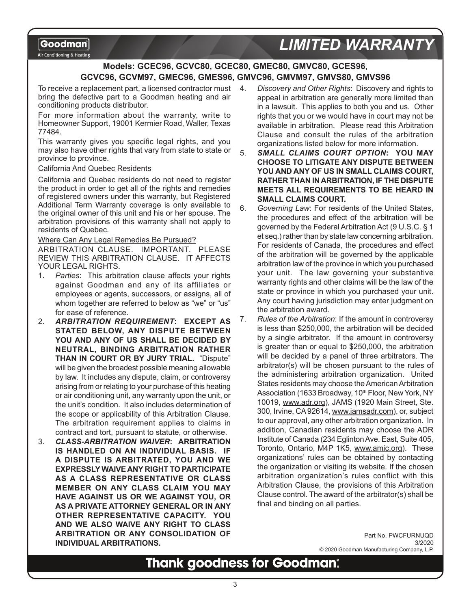Air Conditioning & Heating

# **LIMITED WARRANT**

## **Models: GCEC96, GCVC80, GCEC80, GMEC80, GMVC80, GCES96, GCVC96, GCVM97, GMEC96, GMES96, GMVC96, GMVM97, GMVS80, GMVS96**

To receive a replacement part, a licensed contractor must bring the defective part to a Goodman heating and air conditioning products distributor.

For more information about the warranty, write to Homeowner Support, 19001 Kermier Road, Waller, Texas 77484.

This warranty gives you specific legal rights, and you may also have other rights that vary from state to state or province to province.

#### California And Quebec Residents

California and Quebec residents do not need to register the product in order to get all of the rights and remedies of registered owners under this warranty, but Registered Additional Term Warranty coverage is only available to the original owner of this unit and his or her spouse. The arbitration provisions of this warranty shall not apply to residents of Quebec.

Where Can Any Legal Remedies Be Pursued?

ARBITRATION CLAUSE. IMPORTANT. PLEASE REVIEW THIS ARBITRATION CLAUSE. IT AFFECTS YOUR LEGAL RIGHTS.

- 1. *Parties*: This arbitration clause affects your rights against Goodman and any of its affiliates or employees or agents, successors, or assigns, all of whom together are referred to below as "we" or "us" for ease of reference.
- 2. *ARBITRATION REQUIREMENT***: EXCEPT AS STATED BELOW, ANY DISPUTE BETWEEN YOU AND ANY OF US SHALL BE DECIDED BY NEUTRAL, BINDING ARBITRATION RATHER THAN IN COURT OR BY JURY TRIAL.** "Dispute" will be given the broadest possible meaning allowable by law. It includes any dispute, claim, or controversy arising from or relating to your purchase of this heating or air conditioning unit, any warranty upon the unit, or the unit's condition. It also includes determination of the scope or applicability of this Arbitration Clause. The arbitration requirement applies to claims in contract and tort, pursuant to statute, or otherwise.
- 3. *CLASS-ARBITRATION WAIVER***: ARBITRATION IS HANDLED ON AN INDIVIDUAL BASIS. IF A DISPUTE IS ARBITRATED, YOU AND WE EXPRESSLY WAIVE ANY RIGHT TO PARTICIPATE AS A CLASS REPRESENTATIVE OR CLASS MEMBER ON ANY CLASS CLAIM YOU MAY HAVE AGAINST US OR WE AGAINST YOU, OR AS A PRIVATE ATTORNEY GENERAL OR IN ANY OTHER REPRESENTATIVE CAPACITY. YOU AND WE ALSO WAIVE ANY RIGHT TO CLASS ARBITRATION OR ANY CONSOLIDATION OF INDIVIDUAL ARBITRATIONS.**
- 4. *Discovery and Other Rights*: Discovery and rights to appeal in arbitration are generally more limited than in a lawsuit. This applies to both you and us. Other rights that you or we would have in court may not be available in arbitration. Please read this Arbitration Clause and consult the rules of the arbitration organizations listed below for more information.
- 5. *SMALL CLAIMS COURT OPTION***: YOU MAY CHOOSE TO LITIGATE ANY DISPUTE BETWEEN YOU AND ANY OF US IN SMALL CLAIMS COURT, RATHER THAN IN ARBITRATION, IF THE DISPUTE MEETS ALL REQUIREMENTS TO BE HEARD IN SMALL CLAIMS COURT.**
- 6. *Governing Law*: For residents of the United States, the procedures and effect of the arbitration will be governed by the Federal Arbitration Act (9 U.S.C. § 1 et seq.) rather than by state law concerning arbitration. For residents of Canada, the procedures and effect of the arbitration will be governed by the applicable arbitration law of the province in which you purchased your unit. The law governing your substantive warranty rights and other claims will be the law of the state or province in which you purchased your unit. Any court having jurisdiction may enter judgment on the arbitration award.
- 7. *Rules of the Arbitration*: If the amount in controversy is less than \$250,000, the arbitration will be decided by a single arbitrator. If the amount in controversy is greater than or equal to \$250,000, the arbitration will be decided by a panel of three arbitrators. The arbitrator(s) will be chosen pursuant to the rules of the administering arbitration organization. United States residents may choose the American Arbitration Association (1633 Broadway, 10<sup>th</sup> Floor, New York, NY 10019, www.adr.org), JAMS (1920 Main Street, Ste. 300, Irvine, CA 92614, www.jamsadr.com), or, subject to our approval, any other arbitration organization. In addition, Canadian residents may choose the ADR Institute of Canada (234 Eglinton Ave. East, Suite 405, Toronto, Ontario, M4P 1K5, www.amic.org). These organizations' rules can be obtained by contacting the organization or visiting its website. If the chosen arbitration organization's rules conflict with this Arbitration Clause, the provisions of this Arbitration Clause control. The award of the arbitrator(s) shall be final and binding on all parties.

Part No. PWCFURNUQD 3/2020 © 2020 Goodman Manufacturing Company, L.P.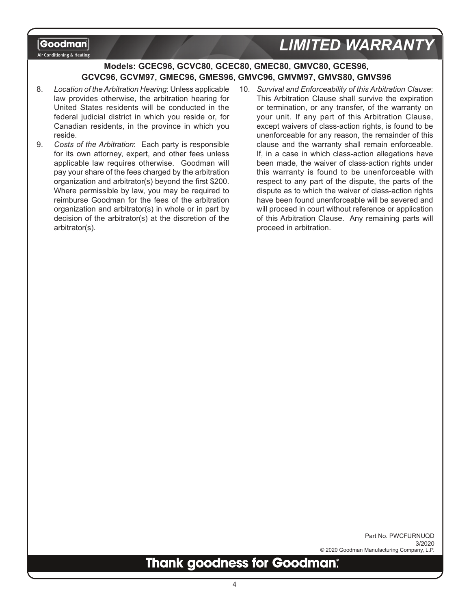#### Air Conditioning & Heating

# *LIMITED WARRANTY*

### **Models: GCEC96, GCVC80, GCEC80, GMEC80, GMVC80, GCES96, GCVC96, GCVM97, GMEC96, GMES96, GMVC96, GMVM97, GMVS80, GMVS96**

- 8. *Location of the Arbitration Hearing*: Unless applicable law provides otherwise, the arbitration hearing for United States residents will be conducted in the federal judicial district in which you reside or, for Canadian residents, in the province in which you reside.
- 9. *Costs of the Arbitration*: Each party is responsible for its own attorney, expert, and other fees unless applicable law requires otherwise. Goodman will pay your share of the fees charged by the arbitration organization and arbitrator(s) beyond the first \$200. Where permissible by law, you may be required to reimburse Goodman for the fees of the arbitration organization and arbitrator(s) in whole or in part by decision of the arbitrator(s) at the discretion of the arbitrator(s).
- 10. *Survival and Enforceability of this Arbitration Clause*: This Arbitration Clause shall survive the expiration or termination, or any transfer, of the warranty on your unit. If any part of this Arbitration Clause, except waivers of class-action rights, is found to be unenforceable for any reason, the remainder of this clause and the warranty shall remain enforceable. If, in a case in which class-action allegations have been made, the waiver of class-action rights under this warranty is found to be unenforceable with respect to any part of the dispute, the parts of the dispute as to which the waiver of class-action rights have been found unenforceable will be severed and will proceed in court without reference or application of this Arbitration Clause. Any remaining parts will proceed in arbitration.

Part No. PWCFURNUQD 3/2020 © 2020 Goodman Manufacturing Company, L.P.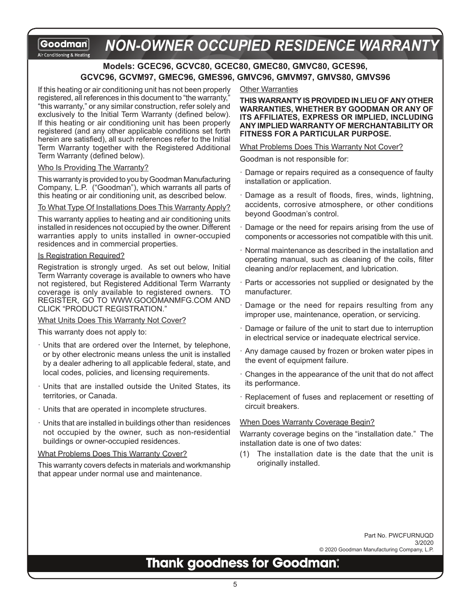#### **NON-OWNER OCCUPIED RESIDENCE WARRANT** Goodman Air Conditioning & Heating

### **Models: GCEC96, GCVC80, GCEC80, GMEC80, GMVC80, GCES96, GCVC96, GCVM97, GMEC96, GMES96, GMVC96, GMVM97, GMVS80, GMVS96**

If this heating or air conditioning unit has not been properly registered, all references in this document to "the warranty," "this warranty," or any similar construction, refer solely and exclusively to the Initial Term Warranty (defined below). If this heating or air conditioning unit has been properly registered (and any other applicable conditions set forth herein are satisfied), all such references refer to the Initial Term Warranty together with the Registered Additional Term Warranty (defined below).

#### Who Is Providing The Warranty?

This warranty is provided to you by Goodman Manufacturing Company, L.P. ("Goodman"), which warrants all parts of this heating or air conditioning unit, as described below.

#### To What Type Of Installations Does This Warranty Apply?

This warranty applies to heating and air conditioning units installed in residences not occupied by the owner. Different warranties apply to units installed in owner-occupied residences and in commercial properties.

#### Is Registration Required?

Registration is strongly urged. As set out below, Initial Term Warranty coverage is available to owners who have not registered, but Registered Additional Term Warranty coverage is only available to registered owners. TO REGISTER, GO TO WWW.GOODMANMFG.COM AND CLICK "PRODUCT REGISTRATION."

#### What Units Does This Warranty Not Cover?

This warranty does not apply to:

- · Units that are ordered over the Internet, by telephone, or by other electronic means unless the unit is installed by a dealer adhering to all applicable federal, state, and local codes, policies, and licensing requirements.
- · Units that are installed outside the United States, its territories, or Canada.
- · Units that are operated in incomplete structures.
- · Units that are installed in buildings other than residences not occupied by the owner, such as non-residential buildings or owner-occupied residences.

#### What Problems Does This Warranty Cover?

This warranty covers defects in materials and workmanship that appear under normal use and maintenance.

#### Other Warranties

**THIS WARRANTY IS PROVIDED IN LIEU OF ANY OTHER WARRANTIES, WHETHER BY GOODMAN OR ANY OF ITS AFFILIATES, EXPRESS OR IMPLIED, INCLUDING ANY IMPLIED WARRANTY OF MERCHANTABILITY OR FITNESS FOR A PARTICULAR PURPOSE.**

#### What Problems Does This Warranty Not Cover?

Goodman is not responsible for:

- · Damage or repairs required as a consequence of faulty installation or application.
- · Damage as a result of floods, fires, winds, lightning, accidents, corrosive atmosphere, or other conditions beyond Goodman's control.
- Damage or the need for repairs arising from the use of components or accessories not compatible with this unit.
- · Normal maintenance as described in the installation and operating manual, such as cleaning of the coils, filter cleaning and/or replacement, and lubrication.
- · Parts or accessories not supplied or designated by the manufacturer.
- · Damage or the need for repairs resulting from any improper use, maintenance, operation, or servicing.
- · Damage or failure of the unit to start due to interruption in electrical service or inadequate electrical service.
- · Any damage caused by frozen or broken water pipes in the event of equipment failure.
- · Changes in the appearance of the unit that do not affect its performance.
- · Replacement of fuses and replacement or resetting of circuit breakers.

#### When Does Warranty Coverage Begin?

Warranty coverage begins on the "installation date." The installation date is one of two dates:

(1) The installation date is the date that the unit is originally installed.

> Part No. PWCFURNUQD 3/2020 © 2020 Goodman Manufacturing Company, L.P.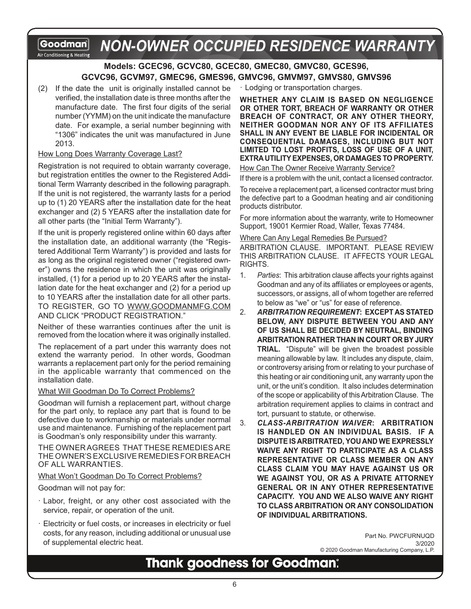#### *NON-OWNER OCCUPIED RESIDENCE WARRANTY*Goodman Air Conditioning & Heating

### **Models: GCEC96, GCVC80, GCEC80, GMEC80, GMVC80, GCES96, GCVC96, GCVM97, GMEC96, GMES96, GMVC96, GMVM97, GMVS80, GMVS96**

(2) If the date the unit is originally installed cannot be verified, the installation date is three months after the manufacture date. The first four digits of the serial number (YYMM) on the unit indicate the manufacture date. For example, a serial number beginning with "1306" indicates the unit was manufactured in June 2013.

#### How Long Does Warranty Coverage Last?

Registration is not required to obtain warranty coverage, but registration entitles the owner to the Registered Additional Term Warranty described in the following paragraph. If the unit is not registered, the warranty lasts for a period up to (1) 20 YEARS after the installation date for the heat exchanger and (2) 5 YEARS after the installation date for all other parts (the "Initial Term Warranty").

If the unit is properly registered online within 60 days after the installation date, an additional warranty (the "Registered Additional Term Warranty") is provided and lasts for as long as the original registered owner ("registered owner") owns the residence in which the unit was originally installed, (1) for a period up to 20 YEARS after the installation date for the heat exchanger and (2) for a period up to 10 YEARS after the installation date for all other parts. TO REGISTER, GO TO WWW.GOODMANMFG.COM AND CLICK "PRODUCT REGISTRATION."

Neither of these warranties continues after the unit is removed from the location where it was originally installed.

The replacement of a part under this warranty does not extend the warranty period. In other words, Goodman warrants a replacement part only for the period remaining in the applicable warranty that commenced on the installation date.

#### What Will Goodman Do To Correct Problems?

Goodman will furnish a replacement part, without charge for the part only, to replace any part that is found to be defective due to workmanship or materials under normal use and maintenance. Furnishing of the replacement part is Goodman's only responsibility under this warranty.

THE OWNER AGREES THAT THESE REMEDIES ARE THE OWNER'S EXCLUSIVE REMEDIES FOR BREACH OF ALL WARRANTIES.

#### What Won't Goodman Do To Correct Problems?

Goodman will not pay for:

- · Labor, freight, or any other cost associated with the service, repair, or operation of the unit.
- Electricity or fuel costs, or increases in electricity or fuel costs, for any reason, including additional or unusual use of supplemental electric heat.

· Lodging or transportation charges.

**WHETHER ANY CLAIM IS BASED ON NEGLIGENCE OR OTHER TORT, BREACH OF WARRANTY OR OTHER BREACH OF CONTRACT, OR ANY OTHER THEORY, NEITHER GOODMAN NOR ANY OF ITS AFFILIATES SHALL IN ANY EVENT BE LIABLE FOR INCIDENTAL OR CONSEQUENTIAL DAMAGES, INCLUDING BUT NOT LIMITED TO LOST PROFITS, LOSS OF USE OF A UNIT, EXTRA UTILITY EXPENSES, OR DAMAGES TO PROPERTY.**

How Can The Owner Receive Warranty Service?

If there is a problem with the unit, contact a licensed contractor.

To receive a replacement part, a licensed contractor must bring the defective part to a Goodman heating and air conditioning products distributor.

For more information about the warranty, write to Homeowner Support, 19001 Kermier Road, Waller, Texas 77484.

#### Where Can Any Legal Remedies Be Pursued?

ARBITRATION CLAUSE. IMPORTANT. PLEASE REVIEW THIS ARBITRATION CLAUSE. IT AFFECTS YOUR LEGAL RIGHTS.

- 1. *Parties*: This arbitration clause affects your rights against Goodman and any of its affiliates or employees or agents, successors, or assigns, all of whom together are referred to below as "we" or "us" for ease of reference.
- 2. *ARBITRATION REQUIREMENT***: EXCEPT AS STATED BELOW, ANY DISPUTE BETWEEN YOU AND ANY OF US SHALL BE DECIDED BY NEUTRAL, BINDING ARBITRATION RATHER THAN IN COURT OR BY JURY TRIAL.** "Dispute" will be given the broadest possible meaning allowable by law. It includes any dispute, claim, or controversy arising from or relating to your purchase of this heating or air conditioning unit, any warranty upon the unit, or the unit's condition. It also includes determination of the scope or applicability of this Arbitration Clause. The arbitration requirement applies to claims in contract and tort, pursuant to statute, or otherwise.
- 3. *CLASS-ARBITRATION WAIVER***: ARBITRATION IS HANDLED ON AN INDIVIDUAL BASIS. IF A DISPUTE IS ARBITRATED, YOU AND WE EXPRESSLY WAIVE ANY RIGHT TO PARTICIPATE AS A CLASS REPRESENTATIVE OR CLASS MEMBER ON ANY CLASS CLAIM YOU MAY HAVE AGAINST US OR WE AGAINST YOU, OR AS A PRIVATE ATTORNEY GENERAL OR IN ANY OTHER REPRESENTATIVE CAPACITY. YOU AND WE ALSO WAIVE ANY RIGHT TO CLASS ARBITRATION OR ANY CONSOLIDATION OF INDIVIDUAL ARBITRATIONS.**

Part No. PWCFURNUQD 3/2020 © 2020 Goodman Manufacturing Company, L.P.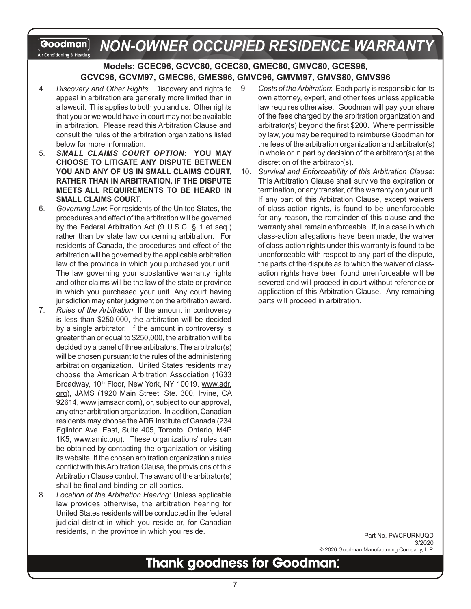#### *NON-OWNER OCCUPIED RESIDENCE WARRANTY*Goodman Air Conditioning & Heating

### **Models: GCEC96, GCVC80, GCEC80, GMEC80, GMVC80, GCES96, GCVC96, GCVM97, GMEC96, GMES96, GMVC96, GMVM97, GMVS80, GMVS96**

- 4. *Discovery and Other Rights*: Discovery and rights to appeal in arbitration are generally more limited than in a lawsuit. This applies to both you and us. Other rights that you or we would have in court may not be available in arbitration. Please read this Arbitration Clause and consult the rules of the arbitration organizations listed below for more information.
- 5. *SMALL CLAIMS COURT OPTION***: YOU MAY CHOOSE TO LITIGATE ANY DISPUTE BETWEEN YOU AND ANY OF US IN SMALL CLAIMS COURT, RATHER THAN IN ARBITRATION, IF THE DISPUTE MEETS ALL REQUIREMENTS TO BE HEARD IN SMALL CLAIMS COURT.**
- 6. *Governing Law*: For residents of the United States, the procedures and effect of the arbitration will be governed by the Federal Arbitration Act (9 U.S.C. § 1 et seq.) rather than by state law concerning arbitration. For residents of Canada, the procedures and effect of the arbitration will be governed by the applicable arbitration law of the province in which you purchased your unit. The law governing your substantive warranty rights and other claims will be the law of the state or province in which you purchased your unit. Any court having jurisdiction may enter judgment on the arbitration award.
- 7. *Rules of the Arbitration*: If the amount in controversy is less than \$250,000, the arbitration will be decided by a single arbitrator. If the amount in controversy is greater than or equal to \$250,000, the arbitration will be decided by a panel of three arbitrators. The arbitrator(s) will be chosen pursuant to the rules of the administering arbitration organization. United States residents may choose the American Arbitration Association (1633 Broadway, 10<sup>th</sup> Floor, New York, NY 10019, www.adr. org), JAMS (1920 Main Street, Ste. 300, Irvine, CA 92614, www.jamsadr.com), or, subject to our approval, any other arbitration organization. In addition, Canadian residents may choose the ADR Institute of Canada (234 Eglinton Ave. East, Suite 405, Toronto, Ontario, M4P 1K5, www.amic.org). These organizations' rules can be obtained by contacting the organization or visiting its website. If the chosen arbitration organization's rules conflict with this Arbitration Clause, the provisions of this Arbitration Clause control. The award of the arbitrator(s) shall be final and binding on all parties.
- 8. *Location of the Arbitration Hearing*: Unless applicable law provides otherwise, the arbitration hearing for United States residents will be conducted in the federal judicial district in which you reside or, for Canadian residents, in the province in which you reside.
- 9. *Costs of the Arbitration*: Each party is responsible for its own attorney, expert, and other fees unless applicable law requires otherwise. Goodman will pay your share of the fees charged by the arbitration organization and arbitrator(s) beyond the first \$200. Where permissible by law, you may be required to reimburse Goodman for the fees of the arbitration organization and arbitrator(s) in whole or in part by decision of the arbitrator(s) at the discretion of the arbitrator(s).
- 10. *Survival and Enforceability of this Arbitration Clause*: This Arbitration Clause shall survive the expiration or termination, or any transfer, of the warranty on your unit. If any part of this Arbitration Clause, except waivers of class-action rights, is found to be unenforceable for any reason, the remainder of this clause and the warranty shall remain enforceable. If, in a case in which class-action allegations have been made, the waiver of class-action rights under this warranty is found to be unenforceable with respect to any part of the dispute, the parts of the dispute as to which the waiver of classaction rights have been found unenforceable will be severed and will proceed in court without reference or application of this Arbitration Clause. Any remaining parts will proceed in arbitration.

Part No. PWCFURNUQD 3/2020 © 2020 Goodman Manufacturing Company, L.P.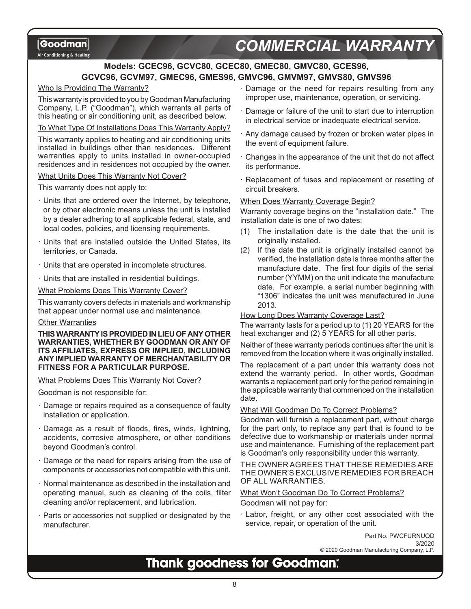Air Conditioning & Heating

# *COMMERCIAL WARRANTY*

### **Models: GCEC96, GCVC80, GCEC80, GMEC80, GMVC80, GCES96, GCVC96, GCVM97, GMEC96, GMES96, GMVC96, GMVM97, GMVS80, GMVS96**

#### Who Is Providing The Warranty?

This warranty is provided to you by Goodman Manufacturing Company, L.P. ("Goodman"), which warrants all parts of this heating or air conditioning unit, as described below.

To What Type Of Installations Does This Warranty Apply?

This warranty applies to heating and air conditioning units installed in buildings other than residences. Different warranties apply to units installed in owner-occupied residences and in residences not occupied by the owner.

#### What Units Does This Warranty Not Cover?

This warranty does not apply to:

- · Units that are ordered over the Internet, by telephone, or by other electronic means unless the unit is installed by a dealer adhering to all applicable federal, state, and local codes, policies, and licensing requirements.
- Units that are installed outside the United States, its territories, or Canada.
- · Units that are operated in incomplete structures.
- · Units that are installed in residential buildings.

What Problems Does This Warranty Cover?

This warranty covers defects in materials and workmanship that appear under normal use and maintenance.

#### Other Warranties

**THIS WARRANTY IS PROVIDED IN LIEU OF ANY OTHER WARRANTIES, WHETHER BY GOODMAN OR ANY OF ITS AFFILIATES, EXPRESS OR IMPLIED, INCLUDING ANY IMPLIED WARRANTY OF MERCHANTABILITY OR FITNESS FOR A PARTICULAR PURPOSE.** 

#### What Problems Does This Warranty Not Cover?

Goodman is not responsible for:

- Damage or repairs required as a consequence of faulty installation or application.
- Damage as a result of floods, fires, winds, lightning, accidents, corrosive atmosphere, or other conditions beyond Goodman's control.
- Damage or the need for repairs arising from the use of components or accessories not compatible with this unit.
- · Normal maintenance as described in the installation and operating manual, such as cleaning of the coils, filter cleaning and/or replacement, and lubrication.
- Parts or accessories not supplied or designated by the manufacturer.
- · Damage or the need for repairs resulting from any improper use, maintenance, operation, or servicing.
- Damage or failure of the unit to start due to interruption in electrical service or inadequate electrical service.
- · Any damage caused by frozen or broken water pipes in the event of equipment failure.
- · Changes in the appearance of the unit that do not affect its performance.
- · Replacement of fuses and replacement or resetting of circuit breakers.

#### When Does Warranty Coverage Begin?

Warranty coverage begins on the "installation date." The installation date is one of two dates:

- (1) The installation date is the date that the unit is originally installed.
- (2) If the date the unit is originally installed cannot be verified, the installation date is three months after the manufacture date. The first four digits of the serial number (YYMM) on the unit indicate the manufacture date. For example, a serial number beginning with "1306" indicates the unit was manufactured in June 2013.

#### How Long Does Warranty Coverage Last?

The warranty lasts for a period up to (1) 20 YEARS for the heat exchanger and (2) 5 YEARS for all other parts.

Neither of these warranty periods continues after the unit is removed from the location where it was originally installed.

The replacement of a part under this warranty does not extend the warranty period. In other words, Goodman warrants a replacement part only for the period remaining in the applicable warranty that commenced on the installation date.

#### What Will Goodman Do To Correct Problems?

Goodman will furnish a replacement part, without charge for the part only, to replace any part that is found to be defective due to workmanship or materials under normal use and maintenance. Furnishing of the replacement part is Goodman's only responsibility under this warranty.

THE OWNER AGREES THAT THESE REMEDIES ARE THE OWNER'S EXCLUSIVE REMEDIES FOR BREACH OF ALL WARRANTIES.

#### What Won't Goodman Do To Correct Problems? Goodman will not pay for:

· Labor, freight, or any other cost associated with the service, repair, or operation of the unit.

> Part No. PWCFURNUQD 3/2020 © 2020 Goodman Manufacturing Company, L.P.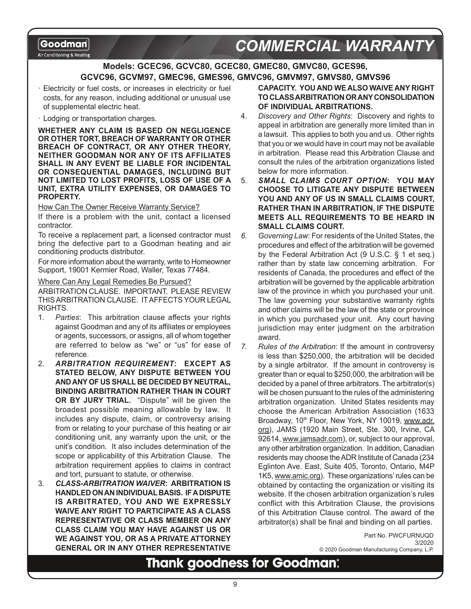Air Conditioning & Heating

# **COMMERCIAL WARRANT**

### **Models: GCEC96, GCVC80, GCEC80, GMEC80, GMVC80, GCES96, GCVC96, GCVM97, GMEC96, GMES96, GMVC96, GMVM97, GMVS80, GMVS96**

Electricity or fuel costs, or increases in electricity or fuel costs, for any reason, including additional or unusual use of supplemental electric heat.

· Lodging or transportation charges.

**WHETHER ANY CLAIM IS BASED ON NEGLIGENCE OR OTHER TORT, BREACH OF WARRANTY OR OTHER BREACH OF CONTRACT, OR ANY OTHER THEORY, NEITHER GOODMAN NOR ANY OF ITS AFFILIATES SHALL IN ANY EVENT BE LIABLE FOR INCIDENTAL OR CONSEQUENTIAL DAMAGES, INCLUDING BUT NOT LIMITED TO LOST PROFITS, LOSS OF USE OF A UNIT, EXTRA UTILITY EXPENSES, OR DAMAGES TO PROPERTY.**

How Can The Owner Receive Warranty Service?

If there is a problem with the unit, contact a licensed contractor.

To receive a replacement part, a licensed contractor must bring the defective part to a Goodman heating and air conditioning products distributor.

For more information about the warranty, write to Homeowner Support, 19001 Kermier Road, Waller, Texas 77484.

Where Can Any Legal Remedies Be Pursued?

ARBITRATION CLAUSE. IMPORTANT. PLEASE REVIEW THIS ARBITRATION CLAUSE. IT AFFECTS YOUR LEGAL RIGHTS.

- 1. *Parties*: This arbitration clause affects your rights against Goodman and any of its affiliates or employees or agents, successors, or assigns, all of whom together are referred to below as "we" or "us" for ease of reference.
- 2. *ARBITRATION REQUIREMENT***: EXCEPT AS STATED BELOW, ANY DISPUTE BETWEEN YOU AND ANY OF US SHALL BE DECIDED BY NEUTRAL, BINDING ARBITRATION RATHER THAN IN COURT OR BY JURY TRIAL.** "Dispute" will be given the broadest possible meaning allowable by law. It includes any dispute, claim, or controversy arising from or relating to your purchase of this heating or air conditioning unit, any warranty upon the unit, or the unit's condition. It also includes determination of the scope or applicability of this Arbitration Clause. The arbitration requirement applies to claims in contract and tort, pursuant to statute, or otherwise.
- 3. *CLASS-ARBITRATION WAIVER***: ARBITRATION IS HANDLED ON AN INDIVIDUAL BASIS. IF A DISPUTE IS ARBITRATED, YOU AND WE EXPRESSLY WAIVE ANY RIGHT TO PARTICIPATE AS A CLASS REPRESENTATIVE OR CLASS MEMBER ON ANY CLASS CLAIM YOU MAY HAVE AGAINST US OR WE AGAINST YOU, OR AS A PRIVATE ATTORNEY GENERAL OR IN ANY OTHER REPRESENTATIVE**

**CAPACITY. YOU AND WE ALSO WAIVE ANY RIGHT TO CLASS ARBITRATION OR ANY CONSOLIDATION OF INDIVIDUAL ARBITRATIONS.**

- 4. *Discovery and Other Rights*: Discovery and rights to appeal in arbitration are generally more limited than in a lawsuit. This applies to both you and us. Other rights that you or we would have in court may not be available in arbitration. Please read this Arbitration Clause and consult the rules of the arbitration organizations listed below for more information.
- 5. *SMALL CLAIMS COURT OPTION***: YOU MAY CHOOSE TO LITIGATE ANY DISPUTE BETWEEN YOU AND ANY OF US IN SMALL CLAIMS COURT, RATHER THAN IN ARBITRATION, IF THE DISPUTE MEETS ALL REQUIREMENTS TO BE HEARD IN SMALL CLAIMS COURT.**
- *6. Governing Law*: For residents of the United States, the procedures and effect of the arbitration will be governed by the Federal Arbitration Act (9 U.S.C. § 1 et seq.) rather than by state law concerning arbitration. For residents of Canada, the procedures and effect of the arbitration will be governed by the applicable arbitration law of the province in which you purchased your unit. The law governing your substantive warranty rights and other claims will be the law of the state or province in which you purchased your unit. Any court having jurisdiction may enter judgment on the arbitration award.
- *7. Rules of the Arbitration*: If the amount in controversy is less than \$250,000, the arbitration will be decided by a single arbitrator. If the amount in controversy is greater than or equal to \$250,000, the arbitration will be decided by a panel of three arbitrators. The arbitrator(s) will be chosen pursuant to the rules of the administering arbitration organization. United States residents may choose the American Arbitration Association (1633 Broadway, 10<sup>th</sup> Floor, New York, NY 10019, www.adr. org), JAMS (1920 Main Street, Ste. 300, Irvine, CA 92614, www.jamsadr.com), or, subject to our approval, any other arbitration organization. In addition, Canadian residents may choose the ADR Institute of Canada (234 Eglinton Ave. East, Suite 405, Toronto, Ontario, M4P 1K5, www.amic.org). These organizations' rules can be obtained by contacting the organization or visiting its website. If the chosen arbitration organization's rules conflict with this Arbitration Clause, the provisions of this Arbitration Clause control. The award of the arbitrator(s) shall be final and binding on all parties.

Part No. PWCFURNUQD 3/2020

© 2020 Goodman Manufacturing Company, L.P.